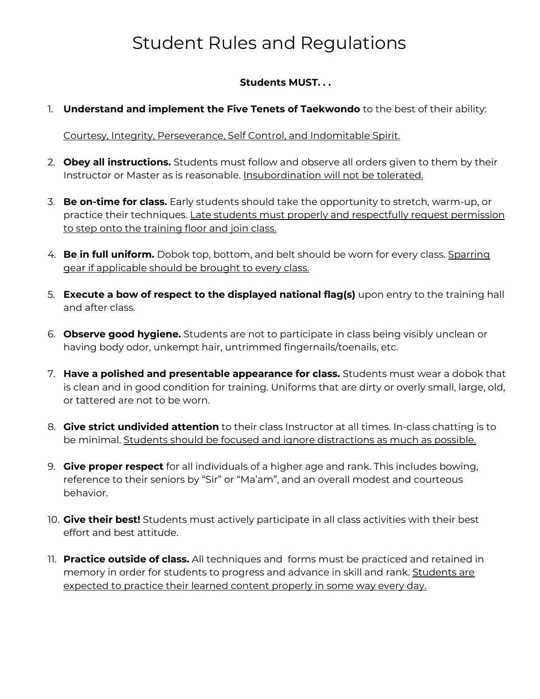## Student Rules and Regulations

## **Students MUST. . .**

1. **Understand and implement the Five Tenets of Taekwondo** to the best of their ability:

Courtesy, Integrity, Perseverance, Self Control, and Indomitable Spirit.

- 2. **Obey all instructions.** Students must follow and observe all orders given to them by their Instructor or Master as is reasonable. Insubordination will not be tolerated.
- 3. **Be on-time for class.** Early students should take the opportunity to stretch, warm-up, or practice their techniques. Late students must properly and respectfully request permission to step onto the training floor and join class.
- 4. **Be in full uniform.** Dobok top, bottom, and belt should be worn for every class. Sparring gear if applicable should be brought to every class.
- 5. **Execute a bow of respect to the displayed national flag(s)** upon entry to the training hall and after class.
- 6. **Observe good hygiene.** Students are not to participate in class being visibly unclean or having body odor, unkempt hair, untrimmed fingernails/toenails, etc.
- 7. **Have a polished and presentable appearance for class.** Students must wear a dobok that is clean and in good condition for training. Uniforms that are dirty or overly small, large, old, or tattered are not to be worn.
- 8. **Give strict undivided attention** to their class Instructor at all times. In-class chatting is to be minimal. Students should be focused and ignore distractions as much as possible.
- 9. **Give proper respect** for all individuals of a higher age and rank. This includes bowing, reference to their seniors by "Sir" or "Ma'am", and an overall modest and courteous behavior.
- 10. **Give their best!** Students must actively participate in all class activities with their best effort and best attitude.
- 11. **Practice outside of class.** All techniques and forms must be practiced and retained in memory in order for students to progress and advance in skill and rank. Students are expected to practice their learned content properly in some way every day.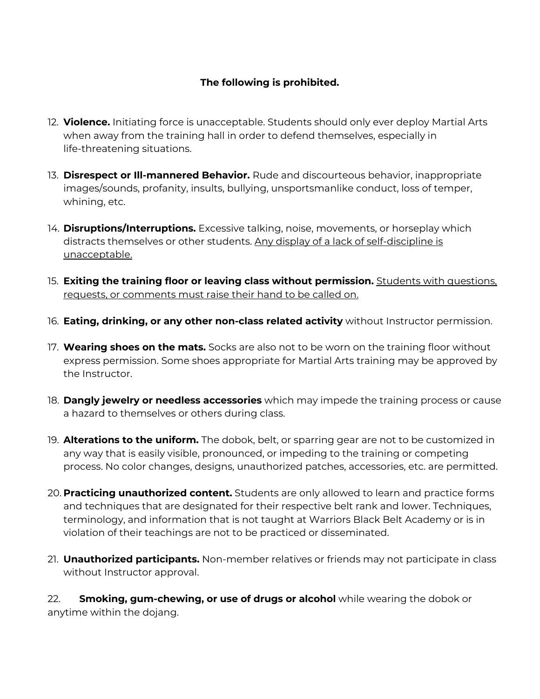## **The following is prohibited.**

- 12. **Violence.** Initiating force is unacceptable. Students should only ever deploy Martial Arts when away from the training hall in order to defend themselves, especially in life-threatening situations.
- 13. **Disrespect or Ill-mannered Behavior.** Rude and discourteous behavior, inappropriate images/sounds, profanity, insults, bullying, unsportsmanlike conduct, loss of temper, whining, etc.
- 14. **Disruptions/Interruptions.** Excessive talking, noise, movements, or horseplay which distracts themselves or other students. Any display of a lack of self-discipline is unacceptable.
- 15. **Exiting the training floor or leaving class without permission.** Students with questions, requests, or comments must raise their hand to be called on.
- 16. **Eating, drinking, or any other non-class related activity** without Instructor permission.
- 17. **Wearing shoes on the mats.** Socks are also not to be worn on the training floor without express permission. Some shoes appropriate for Martial Arts training may be approved by the Instructor.
- 18. **Dangly jewelry or needless accessories** which may impede the training process or cause a hazard to themselves or others during class.
- 19. **Alterations to the uniform.** The dobok, belt, or sparring gear are not to be customized in any way that is easily visible, pronounced, or impeding to the training or competing process. No color changes, designs, unauthorized patches, accessories, etc. are permitted.
- 20. **Practicing unauthorized content.** Students are only allowed to learn and practice forms and techniques that are designated for their respective belt rank and lower. Techniques, terminology, and information that is not taught at Warriors Black Belt Academy or is in violation of their teachings are not to be practiced or disseminated.
- 21. **Unauthorized participants.** Non-member relatives or friends may not participate in class without Instructor approval.

22. **Smoking, gum-chewing, or use of drugs or alcohol** while wearing the dobok or anytime within the dojang.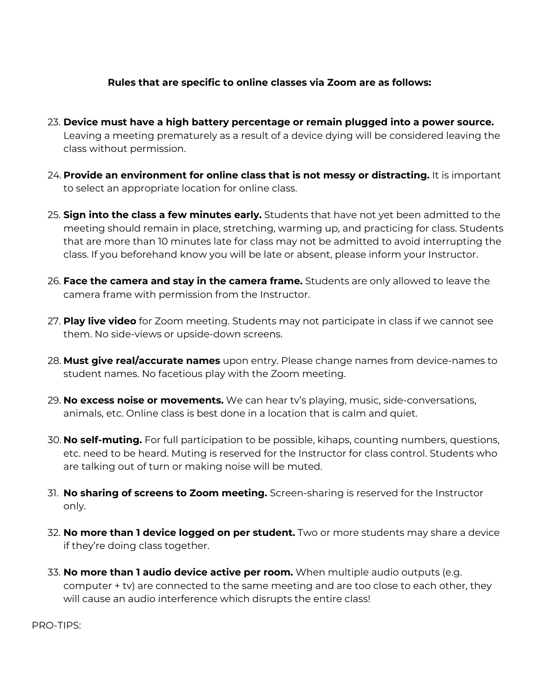## **Rules that are specific to online classes via Zoom are as follows:**

- 23. **Device must have a high battery percentage or remain plugged into a power source.** Leaving a meeting prematurely as a result of a device dying will be considered leaving the class without permission.
- 24. **Provide an environment for online class that is not messy or distracting.** It is important to select an appropriate location for online class.
- 25. **Sign into the class a few minutes early.** Students that have not yet been admitted to the meeting should remain in place, stretching, warming up, and practicing for class. Students that are more than 10 minutes late for class may not be admitted to avoid interrupting the class. If you beforehand know you will be late or absent, please inform your Instructor.
- 26. **Face the camera and stay in the camera frame.** Students are only allowed to leave the camera frame with permission from the Instructor.
- 27. **Play live video** for Zoom meeting. Students may not participate in class if we cannot see them. No side-views or upside-down screens.
- 28. **Must give real/accurate names** upon entry. Please change names from device-names to student names. No facetious play with the Zoom meeting.
- 29. **No excess noise or movements.** We can hear tv's playing, music, side-conversations, animals, etc. Online class is best done in a location that is calm and quiet.
- 30. **No self-muting.** For full participation to be possible, kihaps, counting numbers, questions, etc. need to be heard. Muting is reserved for the Instructor for class control. Students who are talking out of turn or making noise will be muted.
- 31. **No sharing of screens to Zoom meeting.** Screen-sharing is reserved for the Instructor only.
- 32. **No more than 1 device logged on per student.** Two or more students may share a device if they're doing class together.
- 33. **No more than 1 audio device active per room.** When multiple audio outputs (e.g. computer + tv) are connected to the same meeting and are too close to each other, they will cause an audio interference which disrupts the entire class!

PRO-TIPS: